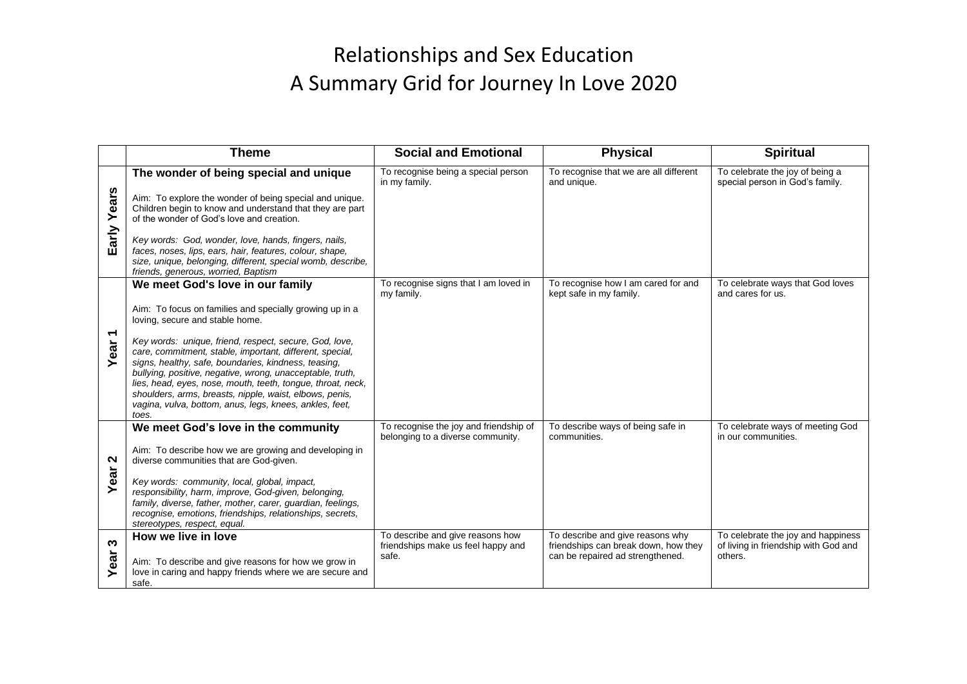## Relationships and Sex Education A Summary Grid for Journey In Love 2020

|                                 | <b>Theme</b>                                                                                                                                                                                                                                                                                                                                                                                                                                                                                                                                                            | <b>Social and Emotional</b>                                                     | <b>Physical</b>                                                                                              | <b>Spiritual</b>                                                                      |
|---------------------------------|-------------------------------------------------------------------------------------------------------------------------------------------------------------------------------------------------------------------------------------------------------------------------------------------------------------------------------------------------------------------------------------------------------------------------------------------------------------------------------------------------------------------------------------------------------------------------|---------------------------------------------------------------------------------|--------------------------------------------------------------------------------------------------------------|---------------------------------------------------------------------------------------|
| Early Years                     | The wonder of being special and unique<br>Aim: To explore the wonder of being special and unique.<br>Children begin to know and understand that they are part<br>of the wonder of God's love and creation.<br>Key words: God, wonder, love, hands, fingers, nails,<br>faces, noses, lips, ears, hair, features, colour, shape,<br>size, unique, belonging, different, special womb, describe,<br>friends, generous, worried, Baptism                                                                                                                                    | To recognise being a special person<br>in my family.                            | To recognise that we are all different<br>and unique.                                                        | To celebrate the joy of being a<br>special person in God's family.                    |
| $\overline{\phantom{0}}$<br>ear | We meet God's love in our family<br>Aim: To focus on families and specially growing up in a<br>loving, secure and stable home.<br>Key words: unique, friend, respect, secure, God, love,<br>care, commitment, stable, important, different, special,<br>signs, healthy, safe, boundaries, kindness, teasing,<br>bullying, positive, negative, wrong, unacceptable, truth,<br>lies, head, eyes, nose, mouth, teeth, tongue, throat, neck,<br>shoulders, arms, breasts, nipple, waist, elbows, penis,<br>vagina, vulva, bottom, anus, legs, knees, ankles, feet,<br>toes. | To recognise signs that I am loved in<br>my family.                             | To recognise how I am cared for and<br>kept safe in my family.                                               | To celebrate ways that God loves<br>and cares for us.                                 |
| N<br>Year                       | We meet God's love in the community<br>Aim: To describe how we are growing and developing in<br>diverse communities that are God-given.<br>Key words: community, local, global, impact,<br>responsibility, harm, improve, God-given, belonging,<br>family, diverse, father, mother, carer, guardian, feelings,<br>recognise, emotions, friendships, relationships, secrets,<br>stereotypes, respect, equal.                                                                                                                                                             | To recognise the joy and friendship of<br>belonging to a diverse community.     | To describe ways of being safe in<br>communities.                                                            | To celebrate ways of meeting God<br>in our communities.                               |
| S<br>Year                       | How we live in love<br>Aim: To describe and give reasons for how we grow in<br>love in caring and happy friends where we are secure and<br>safe.                                                                                                                                                                                                                                                                                                                                                                                                                        | To describe and give reasons how<br>friendships make us feel happy and<br>safe. | To describe and give reasons why<br>friendships can break down, how they<br>can be repaired ad strengthened. | To celebrate the joy and happiness<br>of living in friendship with God and<br>others. |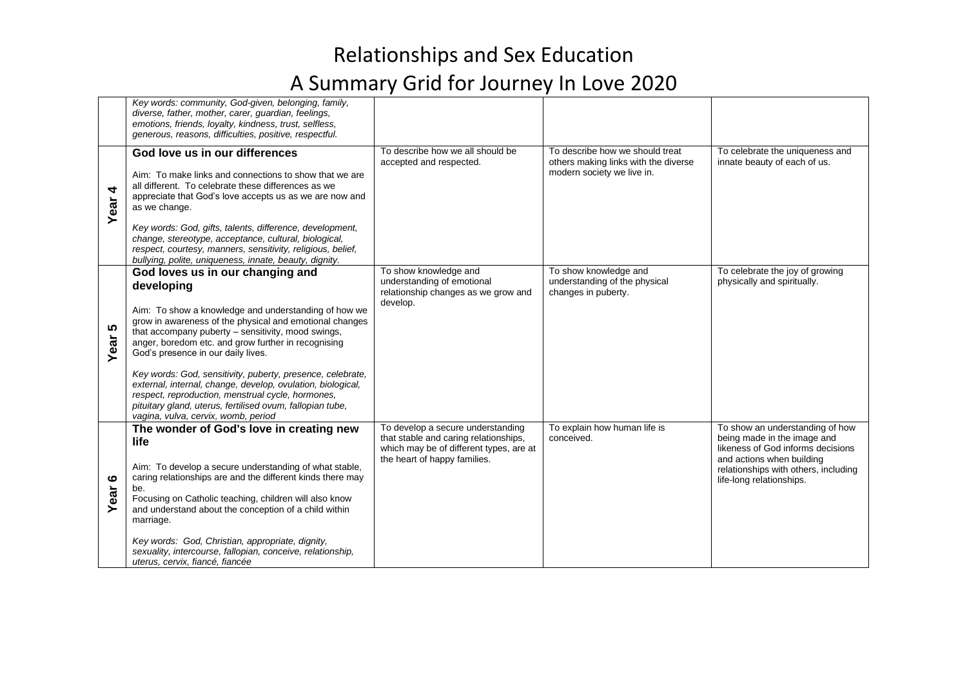## Relationships and Sex Education A Summary Grid for Journey In Love 2020

|               | Key words: community, God-given, belonging, family,<br>diverse, father, mother, carer, guardian, feelings,<br>emotions, friends, loyalty, kindness, trust, selfless,<br>generous, reasons, difficulties, positive, respectful.                                                                                                                                                                                                                                                                                                                                                                             |                                                                                                                                                       |                                                                                                       |                                                                                                                                                                                                      |
|---------------|------------------------------------------------------------------------------------------------------------------------------------------------------------------------------------------------------------------------------------------------------------------------------------------------------------------------------------------------------------------------------------------------------------------------------------------------------------------------------------------------------------------------------------------------------------------------------------------------------------|-------------------------------------------------------------------------------------------------------------------------------------------------------|-------------------------------------------------------------------------------------------------------|------------------------------------------------------------------------------------------------------------------------------------------------------------------------------------------------------|
| 4<br>Year     | God love us in our differences<br>Aim: To make links and connections to show that we are<br>all different. To celebrate these differences as we<br>appreciate that God's love accepts us as we are now and<br>as we change.<br>Key words: God, gifts, talents, difference, development,<br>change, stereotype, acceptance, cultural, biological,<br>respect, courtesy, manners, sensitivity, religious, belief,<br>bullying, polite, uniqueness, innate, beauty, dignity.                                                                                                                                  | To describe how we all should be<br>accepted and respected.                                                                                           | To describe how we should treat<br>others making links with the diverse<br>modern society we live in. | To celebrate the uniqueness and<br>innate beauty of each of us.                                                                                                                                      |
| 5<br>Year     | God loves us in our changing and<br>developing<br>Aim: To show a knowledge and understanding of how we<br>grow in awareness of the physical and emotional changes<br>that accompany puberty - sensitivity, mood swings,<br>anger, boredom etc. and grow further in recognising<br>God's presence in our daily lives.<br>Key words: God, sensitivity, puberty, presence, celebrate,<br>external, internal, change, develop, ovulation, biological,<br>respect, reproduction, menstrual cycle, hormones,<br>pituitary gland, uterus, fertilised ovum, fallopian tube,<br>vagina, vulva, cervix, womb, period | To show knowledge and<br>understanding of emotional<br>relationship changes as we grow and<br>develop.                                                | To show knowledge and<br>understanding of the physical<br>changes in puberty.                         | To celebrate the joy of growing<br>physically and spiritually.                                                                                                                                       |
| ဖ<br>ear<br>≻ | The wonder of God's love in creating new<br>life<br>Aim: To develop a secure understanding of what stable,<br>caring relationships are and the different kinds there may<br>be.<br>Focusing on Catholic teaching, children will also know<br>and understand about the conception of a child within<br>marriage.<br>Key words: God, Christian, appropriate, dignity,<br>sexuality, intercourse, fallopian, conceive, relationship,<br>uterus, cervix, fiancé, fiancée                                                                                                                                       | To develop a secure understanding<br>that stable and caring relationships,<br>which may be of different types, are at<br>the heart of happy families. | To explain how human life is<br>conceived.                                                            | To show an understanding of how<br>being made in the image and<br>likeness of God informs decisions<br>and actions when building<br>relationships with others, including<br>life-long relationships. |